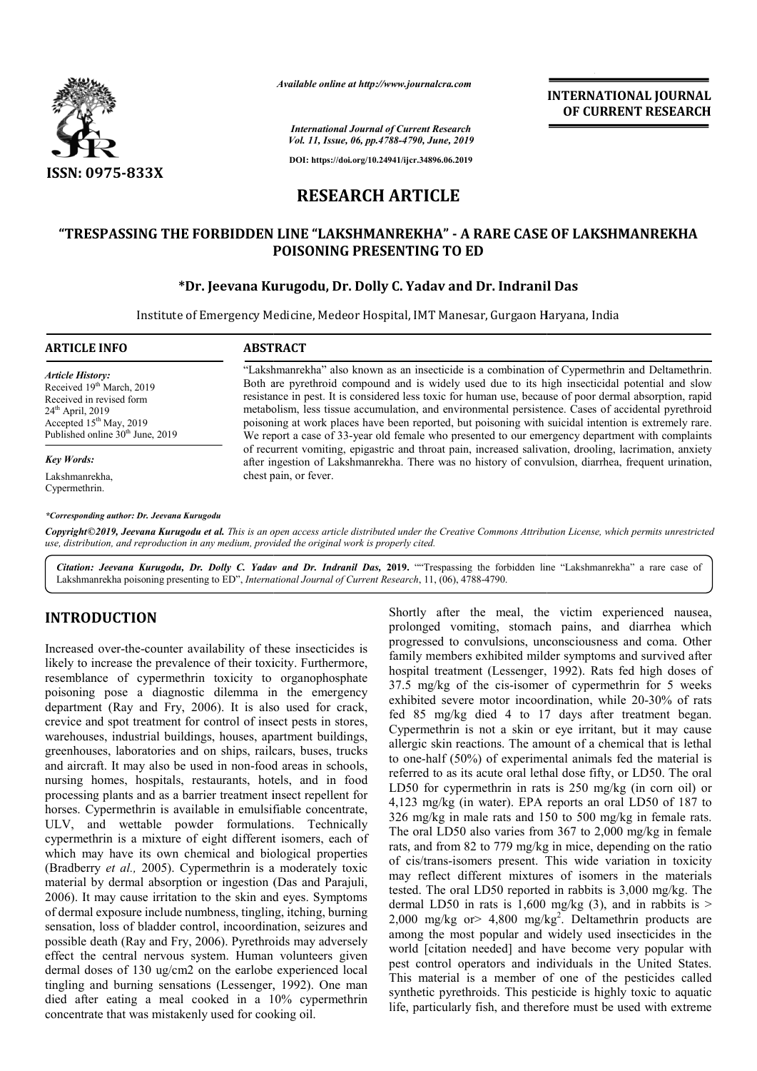

*Available online at http://www.journalcra.com*

**INTERNATIONAL JOURNAL OF CURRENT RESEARCH**

*International Journal of Current Research Vol. 11, Issue, 06, pp.4788-4790, June, 2019*

**DOI: https://doi.org/10.24941/ijcr.34896.06.2019**

# **RESEARCH ARTICLE**

## **"TRESPASSING THE FORBIDDEN LINE "LAKSHMANREKHA" - A RARE CASE OF LAKSHMANREKHA POISONING PRESENTING TO ED**

### **\*Dr. Jeevana Kurugodu, Dr. Dolly C. Yadav and Dr. Indranil Das**

Institute of Emergency Medicine, Medeor Hospital, IMT Manesar, Gurgaon Haryana, India

| <b>ARTICLE INFO</b>                                                                                                                                                                             | <b>ABSTRACT</b>                                                                                                                                                                                                                                                                                                                                                                                                                                                                                                                                                                                                                   |  |  |
|-------------------------------------------------------------------------------------------------------------------------------------------------------------------------------------------------|-----------------------------------------------------------------------------------------------------------------------------------------------------------------------------------------------------------------------------------------------------------------------------------------------------------------------------------------------------------------------------------------------------------------------------------------------------------------------------------------------------------------------------------------------------------------------------------------------------------------------------------|--|--|
| <b>Article History:</b><br>Received 19 <sup>th</sup> March, 2019<br>Received in revised form<br>$24th$ April, 2019<br>Accepted $15th$ May, 2019<br>Published online 30 <sup>th</sup> June, 2019 | "Lakshmanrekha" also known as an insecticide is a combination of Cypermethrin and Deltamethrin.<br>Both are pyrethroid compound and is widely used due to its high insecticidal potential and slow<br>resistance in pest. It is considered less toxic for human use, because of poor dermal absorption, rapid<br>metabolism, less tissue accumulation, and environmental persistence. Cases of accidental pyrethroid<br>poisoning at work places have been reported, but poisoning with suicidal intention is extremely rare.<br>We report a case of 33-year old female who presented to our emergency department with complaints |  |  |
| <b>Key Words:</b>                                                                                                                                                                               | of recurrent vomiting, epigastric and throat pain, increased salivation, drooling, lacrimation, anxiety<br>after ingestion of Lakshmanrekha. There was no history of convulsion, diarrhea, frequent urination,                                                                                                                                                                                                                                                                                                                                                                                                                    |  |  |
| Lakshmanrekha,<br>Cypermethrin.                                                                                                                                                                 | chest pain, or fever.                                                                                                                                                                                                                                                                                                                                                                                                                                                                                                                                                                                                             |  |  |
| *Corresponding author: Dr. Jeevana Kurugodu                                                                                                                                                     |                                                                                                                                                                                                                                                                                                                                                                                                                                                                                                                                                                                                                                   |  |  |

Copyright©2019, Jeevana Kurugodu et al. This is an open access article distributed under the Creative Commons Attribution License, which permits unrestrictea *use, distribution, and reproduction in any medium, provided the original work is properly cited.*

Citation: Jeevana Kurugodu, Dr. Dolly C. Yadav and Dr. Indranil Das, 2019. ""Trespassing the forbidden line "Lakshmanrekha" a rare case of Lakshmanrekha poisoning presenting to ED", *International Journal of Current Research*, 11, (06), 4788-4790.

## **INTRODUCTION**

Increased over-the-counter availability of these insecticides is likely to increase the prevalence of their toxicity. Furthermore, resemblance of cypermethrin toxicity to organophosphate poisoning pose a diagnostic dilemma in the emergency department (Ray and Fry, 2006). It is also used for crack, crevice and spot treatment for control of insect pests in stores, warehouses, industrial buildings, houses, apartment buildings, greenhouses, laboratories and on ships, railcars, buses, trucks and aircraft. It may also be used in non-food areas in schools, nursing homes, hospitals, restaurants, hotels, and in food processing plants and as a barrier treatment insect repellent for horses. Cypermethrin is available in emulsifiable concentrate, ULV, and wettable powder formulations. Technically cypermethrin is a mixture of eight different isomers, each of which may have its own chemical and biological properties (Bradberry *et al.,* 2005). Cypermethrin is a moderately toxic material by dermal absorption or ingestion (Das and Parajuli, 2006). It may cause irritation to the skin and eyes. Symptoms . of dermal exposure include numbness, tingling, itching, burning sensation, loss of bladder control, incoordination, seizures and possible death (Ray and Fry, 2006). Pyrethroids may adversely effect the central nervous system. Human volunteers given dermal doses of 130 ug/cm2 on the earlobe experienced local tingling and burning sensations (Lessenger, 1992). One man died after eating a meal cooked in a 10% cypermethrin concentrate that was mistakenly used for cooking oil. he-counter availability of these insecticides is<br>e the prevalence of their toxicity. Furthermore,<br>consequently to organophosphate<br>a diagnostic dilemma in the emergency<br>y and Fry, 2006). It is also used for crack,<br>treatment Shortly after the meal, the victim experienced nausea, prolonged vomiting, stomach pains, and diarrhea which progressed to convulsions, unconsciousness and coma. Other family members exhibited milder symptoms and survived after hospital treatment (Lessenger, 1992). Rats fed high doses of 37.5 mg/kg of the cis-isomer of cypermethrin for 5 weeks 37.5 mg/kg of the cis-isomer of cypermethrin for 5 weeks exhibited severe motor incoordination, while 20-30% of rats fed 85 mg/kg died 4 to 17 days after treatment began. Cypermethrin is not a skin or eye irritant, but it may cause allergic skin reactions. The amount of a chemical that is lethal to one-half (50%) of experimental animals fed the material is referred to as its acute oral lethal dose fifty, or LD50. The oral LD50 for cypermethrin in rats is 250 mg/kg (in corn oil) or 4,123 mg/kg (in water). EPA reports an oral LD50 of 187 to 326 mg/kg in male rats and 150 to 500 mg/kg in female rats The oral LD50 also varies from 367 to 2,000 mg/kg in female rats, and from 82 to 779 mg/kg in mice, depending on the ratio of cis/trans-isomers present. This wide variation in toxicity may reflect different mixtures of isomers in the materials tested. The oral LD50 reported in rabbits is 3,000 mg/kg dermal LD50 in rats is 1,600 mg/kg  $(3)$ , and in rabbits is > dermal LD50 in rats is  $1,600$  mg/kg  $(3)$ , and in rabbits is  $>$  2,000 mg/kg or $> 4,800$  mg/kg<sup>2</sup>. Deltamethrin products are among the most popular and widely used insecticides in the world [citation needed] and have become very popular with pest control operators and individuals in the United States. This material is a member of one of the pesticides called synthetic pyrethroids. This pesticide is highly toxic to aquatic life, particularly fish, and therefore must be used with extreme vomiting, stomach pains, and diarrhea which<br>to convulsions, unconsciousness and coma. Other<br>bers exhibited milder symptoms and survived after the skin reactions. The amount of a chemical that is lethal half  $(50\%)$  of experimental animals fed the material is it to as its acute oral lethal dose fifty, or LD50. The oral 0 for cypermethrin in rats is 250 mg/kg (in corn oil) or 3 mg/kg (in water). EPA reports an oral LD50 of 187 to mg/kg in male rats and 150 to 500 mg/kg in female rats. LD50 also varies from 367 to 2,000 mg/kg in female<br>from 82 to 779 mg/kg in mice, depending on the ratio<br>ns-isomers present. This wide variation in toxicity<br>ect different mixtures of isomers in the materials<br>ne oral LD50 r popular [citation needed] and have become and in States. one the pyrethroids. ish,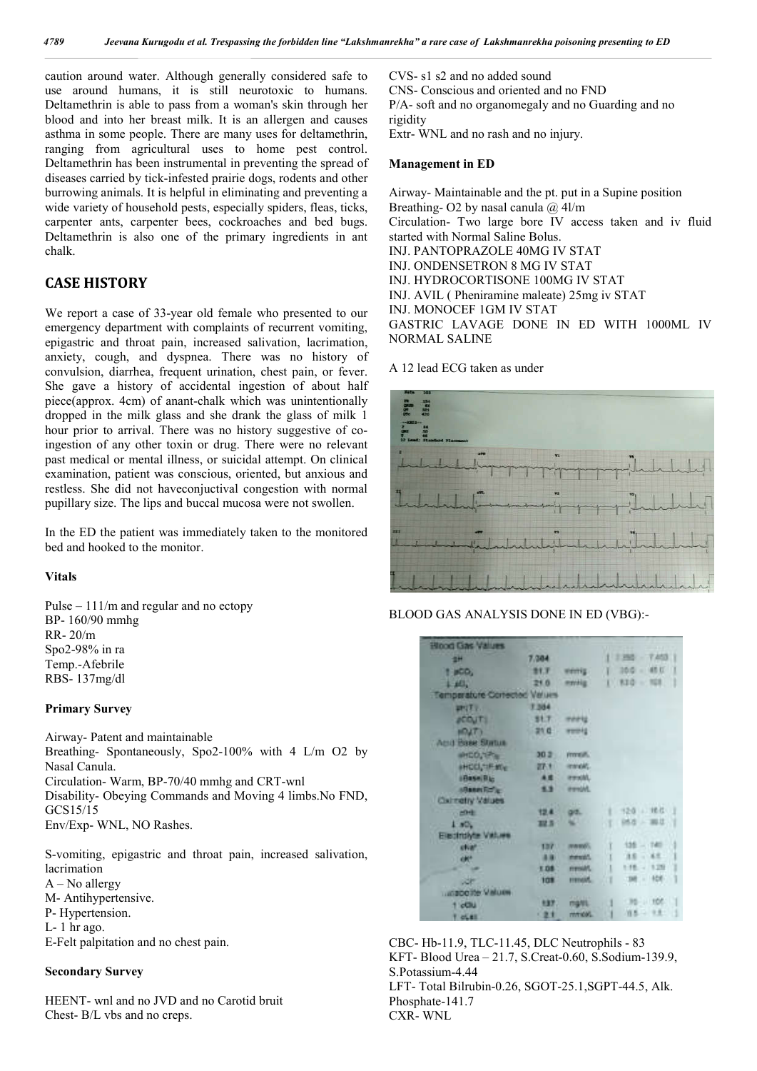caution around water. Although generally considered safe to use around humans, it is still neurotoxic to humans. Deltamethrin is able to pass from a woman's skin through her blood and into her breast milk. It is an allergen and causes asthma in some people. There are many uses for deltamethrin, ranging from agricultural uses to home pest control. Deltamethrin has been instrumental in preventing the spread of diseases carried by tick-infested prairie dogs, rodents and other burrowing animals. It is helpful in eliminating and preventing a wide variety of household pests, especially spiders, fleas, ticks, carpenter ants, carpenter bees, cockroaches and bed bugs. Deltamethrin is also one of the primary ingredients in ant chalk.

## **CASE HISTORY**

We report a case of 33-year old female who presented to our emergency department with complaints of recurrent vomiting, epigastric and throat pain, increased salivation, lacrimation, anxiety, cough, and dyspnea. There was no history of convulsion, diarrhea, frequent urination, chest pain, or fever. She gave a history of accidental ingestion of about half piece(approx. 4cm) of anant-chalk which was unintentionally dropped in the milk glass and she drank the glass of milk 1 hour prior to arrival. There was no history suggestive of coingestion of any other toxin or drug. There were no relevant past medical or mental illness, or suicidal attempt. On clinical examination, patient was conscious, oriented, but anxious and restless. She did not haveconjuctival congestion with normal pupillary size. The lips and buccal mucosa were not swollen.

In the ED the patient was immediately taken to the monitored bed and hooked to the monitor.

### **Vitals**

Pulse – 111/m and regular and no ectopy BP- 160/90 mmhg RR- 20/m Spo2-98% in ra Temp.-Afebrile RBS- 137mg/dl

#### **Primary Survey**

Airway- Patent and maintainable Breathing- Spontaneously, Spo2-100% with 4 L/m O2 by Nasal Canula. Circulation- Warm, BP-70/40 mmhg and CRT-wnl Disability- Obeying Commands and Moving 4 limbs.No FND, GCS15/15 Env/Exp- WNL, NO Rashes.

S-vomiting, epigastric and throat pain, increased salivation, lacrimation A – No allergy M- Antihypertensive. P- Hypertension.  $L - 1$  hr ago. E-Felt palpitation and no chest pain.

### **Secondary Survey**

HEENT- wnl and no JVD and no Carotid bruit Chest- B/L vbs and no creps.

CVS- s1 s2 and no added sound CNS- Conscious and oriented and no FND P/A- soft and no organomegaly and no Guarding and no rigidity Extr- WNL and no rash and no injury.

#### **Management in ED**

Airway- Maintainable and the pt. put in a Supine position Breathing- O2 by nasal canula  $\omega$  4l/m Circulation- Two large bore IV access taken and iv fluid started with Normal Saline Bolus. INJ. PANTOPRAZOLE 40MG IV STAT INJ. ONDENSETRON 8 MG IV STAT INJ. HYDROCORTISONE 100MG IV STAT INJ. AVIL ( Pheniramine maleate) 25mg iv STAT INJ. MONOCEF 1GM IV STAT GASTRIC LAVAGE DONE IN ED WITH 1000ML IV NORMAL SALINE

A 12 lead ECG taken as under



BLOOD GAS ANALYSIS DONE IN ED (VBG):-

| <b>Hood Gas Values</b>       |          |                 |                 |
|------------------------------|----------|-----------------|-----------------|
|                              |          |                 | $1286 - 7453$   |
| 田村                           | 7.084    |                 |                 |
| $P$ is C.O.                  | 27.7     | wentig.         | $1.300 - 400$   |
| $H_1$                        | 210      | moving.         | $1.830 - 101.$  |
| Temperature Corrected Velues |          |                 |                 |
| $H^{\bullet}(T)$ .           | 7.584    |                 |                 |
| <b>ACQUIT!</b>               | St.T.    | meetig          |                 |
| HOUT)                        | $210 -$  | www.kg          |                 |
| Acid Base Status             |          |                 |                 |
| WHILO, YES                   | $30.2 -$ | rmme.           |                 |
| IHOO, IF MY                  | ■大きし     | inmold.         |                 |
| iBase Ric                    | 4.8      | <b>FIRSH</b> .  |                 |
| <b>IRENESSE</b>              | 13       | <b>Morro</b>    |                 |
| Cixtratry Values             |          |                 |                 |
| <b>HOHE</b>                  | 12.4     | g/d.            | $120 - 100 - 1$ |
| 1.801                        | 32.5     | w               | 168 - 再生        |
| Electrolyte Values           |          |                 |                 |
| ever.                        | 1371     | meno.           | $136 - 740$     |
|                              | 8.91     | <b>Coreman</b>  | $35 - 45$       |
|                              | 1.08     | <b>Marris</b>   | $1.16 - 1.29$   |
| iсh                          | 109      | menon.          | 188 - 108       |
| <b>USED CITY VINUES</b>      |          |                 |                 |
| $1$ other                    | 137.     | marti.          | $10 - 100$      |
| T OLEE                       | 21       | <b>INVENDAL</b> | 消息 一 生息 …       |

CBC- Hb-11.9, TLC-11.45, DLC Neutrophils - 83 KFT- Blood Urea – 21.7, S.Creat-0.60, S.Sodium-139.9, S.Potassium-4.44 LFT- Total Bilrubin-0.26, SGOT-25.1,SGPT-44.5, Alk. Phosphate-141.7 CXR- WNL